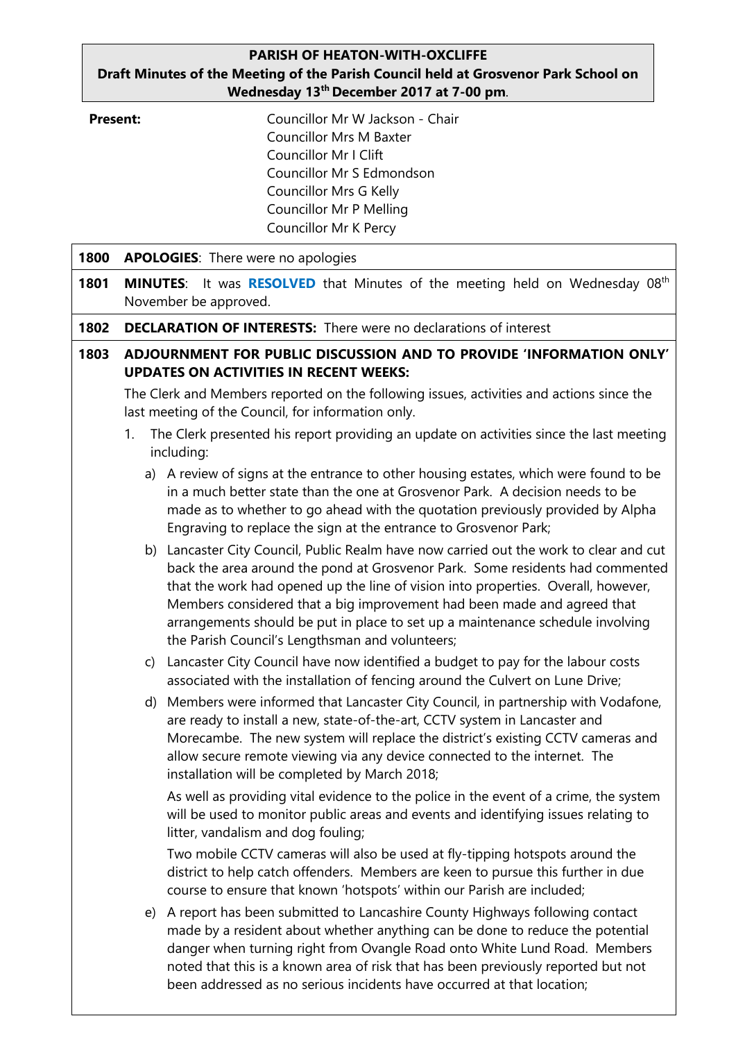## **PARISH OF HEATON-WITH-OXCLIFFE Draft Minutes of the Meeting of the Parish Council held at Grosvenor Park School on Wednesday 13th December 2017 at 7-00 pm**.

| <b>Present:</b> |  |
|-----------------|--|
|-----------------|--|

**Present:** Councillor Mr W Jackson - Chair Councillor Mrs M Baxter Councillor Mr I Clift Councillor Mr S Edmondson Councillor Mrs G Kelly Councillor Mr P Melling Councillor Mr K Percy

| 1800 | <b>APOLOGIES:</b> There were no apologies                                                                                                      |                                                                                                                                                                                                                                                                                                                                                                                                                                                                              |  |  |  |  |
|------|------------------------------------------------------------------------------------------------------------------------------------------------|------------------------------------------------------------------------------------------------------------------------------------------------------------------------------------------------------------------------------------------------------------------------------------------------------------------------------------------------------------------------------------------------------------------------------------------------------------------------------|--|--|--|--|
| 1801 | MINUTES: It was RESOLVED that Minutes of the meeting held on Wednesday 08th<br>November be approved.                                           |                                                                                                                                                                                                                                                                                                                                                                                                                                                                              |  |  |  |  |
| 1802 | <b>DECLARATION OF INTERESTS:</b> There were no declarations of interest                                                                        |                                                                                                                                                                                                                                                                                                                                                                                                                                                                              |  |  |  |  |
| 1803 | ADJOURNMENT FOR PUBLIC DISCUSSION AND TO PROVIDE 'INFORMATION ONLY'<br><b>UPDATES ON ACTIVITIES IN RECENT WEEKS:</b>                           |                                                                                                                                                                                                                                                                                                                                                                                                                                                                              |  |  |  |  |
|      | The Clerk and Members reported on the following issues, activities and actions since the<br>last meeting of the Council, for information only. |                                                                                                                                                                                                                                                                                                                                                                                                                                                                              |  |  |  |  |
|      | The Clerk presented his report providing an update on activities since the last meeting<br>1.<br>including:                                    |                                                                                                                                                                                                                                                                                                                                                                                                                                                                              |  |  |  |  |
|      |                                                                                                                                                | a) A review of signs at the entrance to other housing estates, which were found to be<br>in a much better state than the one at Grosvenor Park. A decision needs to be<br>made as to whether to go ahead with the quotation previously provided by Alpha<br>Engraving to replace the sign at the entrance to Grosvenor Park;                                                                                                                                                 |  |  |  |  |
|      |                                                                                                                                                | b) Lancaster City Council, Public Realm have now carried out the work to clear and cut<br>back the area around the pond at Grosvenor Park. Some residents had commented<br>that the work had opened up the line of vision into properties. Overall, however,<br>Members considered that a big improvement had been made and agreed that<br>arrangements should be put in place to set up a maintenance schedule involving<br>the Parish Council's Lengthsman and volunteers; |  |  |  |  |
|      | $\mathsf{C}$                                                                                                                                   | Lancaster City Council have now identified a budget to pay for the labour costs<br>associated with the installation of fencing around the Culvert on Lune Drive;                                                                                                                                                                                                                                                                                                             |  |  |  |  |
|      | d)                                                                                                                                             | Members were informed that Lancaster City Council, in partnership with Vodafone,<br>are ready to install a new, state-of-the-art, CCTV system in Lancaster and<br>Morecambe. The new system will replace the district's existing CCTV cameras and<br>allow secure remote viewing via any device connected to the internet. The<br>installation will be completed by March 2018;                                                                                              |  |  |  |  |
|      |                                                                                                                                                | As well as providing vital evidence to the police in the event of a crime, the system<br>will be used to monitor public areas and events and identifying issues relating to<br>litter, vandalism and dog fouling;                                                                                                                                                                                                                                                            |  |  |  |  |
|      |                                                                                                                                                | Two mobile CCTV cameras will also be used at fly-tipping hotspots around the<br>district to help catch offenders. Members are keen to pursue this further in due<br>course to ensure that known 'hotspots' within our Parish are included;                                                                                                                                                                                                                                   |  |  |  |  |
|      | e)                                                                                                                                             | A report has been submitted to Lancashire County Highways following contact<br>made by a resident about whether anything can be done to reduce the potential<br>danger when turning right from Ovangle Road onto White Lund Road. Members<br>noted that this is a known area of risk that has been previously reported but not<br>been addressed as no serious incidents have occurred at that location;                                                                     |  |  |  |  |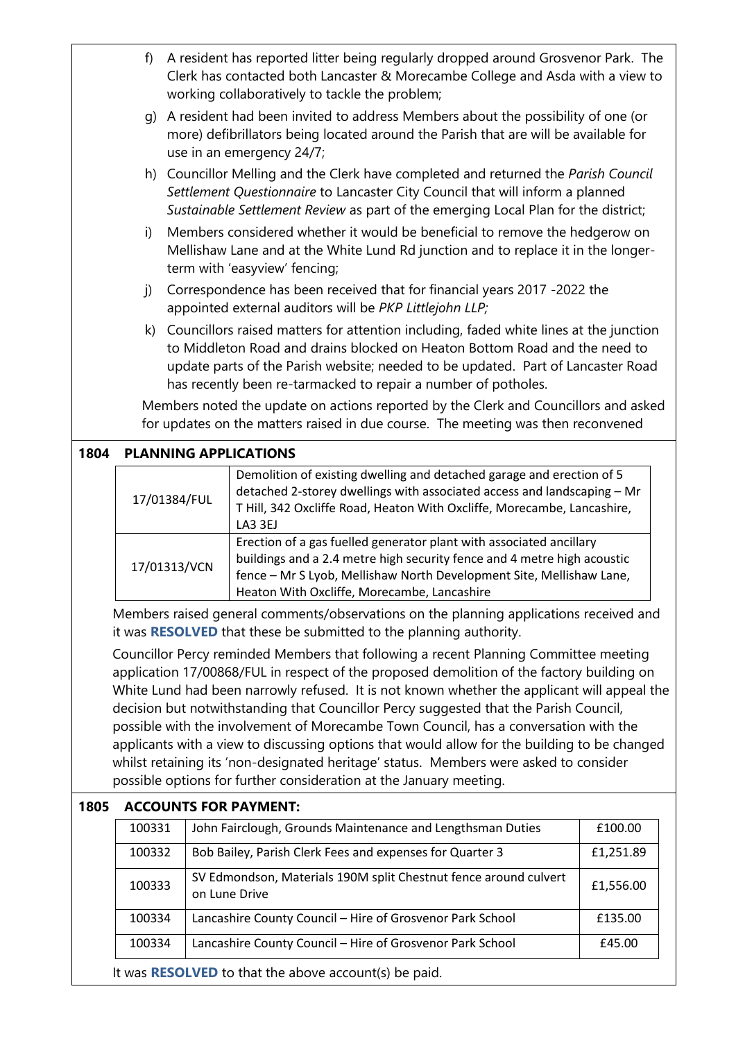|                                                                                                                                                                                                                                                                                                                                                                                                                                                                                                                                                                                                                                                                                                                                  | f)                                                                                                                                                                      | A resident has reported litter being regularly dropped around Grosvenor Park. The<br>Clerk has contacted both Lancaster & Morecambe College and Asda with a view to<br>working collaboratively to tackle the problem;                                                                                                        |                                                                                                                                                                                                                                                                       |           |  |  |
|----------------------------------------------------------------------------------------------------------------------------------------------------------------------------------------------------------------------------------------------------------------------------------------------------------------------------------------------------------------------------------------------------------------------------------------------------------------------------------------------------------------------------------------------------------------------------------------------------------------------------------------------------------------------------------------------------------------------------------|-------------------------------------------------------------------------------------------------------------------------------------------------------------------------|------------------------------------------------------------------------------------------------------------------------------------------------------------------------------------------------------------------------------------------------------------------------------------------------------------------------------|-----------------------------------------------------------------------------------------------------------------------------------------------------------------------------------------------------------------------------------------------------------------------|-----------|--|--|
|                                                                                                                                                                                                                                                                                                                                                                                                                                                                                                                                                                                                                                                                                                                                  | g)                                                                                                                                                                      | A resident had been invited to address Members about the possibility of one (or<br>more) defibrillators being located around the Parish that are will be available for<br>use in an emergency 24/7;                                                                                                                          |                                                                                                                                                                                                                                                                       |           |  |  |
|                                                                                                                                                                                                                                                                                                                                                                                                                                                                                                                                                                                                                                                                                                                                  |                                                                                                                                                                         | h) Councillor Melling and the Clerk have completed and returned the Parish Council<br>Settlement Questionnaire to Lancaster City Council that will inform a planned<br>Sustainable Settlement Review as part of the emerging Local Plan for the district;                                                                    |                                                                                                                                                                                                                                                                       |           |  |  |
|                                                                                                                                                                                                                                                                                                                                                                                                                                                                                                                                                                                                                                                                                                                                  | i)                                                                                                                                                                      | Members considered whether it would be beneficial to remove the hedgerow on<br>Mellishaw Lane and at the White Lund Rd junction and to replace it in the longer-<br>term with 'easyview' fencing;                                                                                                                            |                                                                                                                                                                                                                                                                       |           |  |  |
|                                                                                                                                                                                                                                                                                                                                                                                                                                                                                                                                                                                                                                                                                                                                  | j)                                                                                                                                                                      | Correspondence has been received that for financial years 2017 -2022 the<br>appointed external auditors will be PKP Littlejohn LLP;                                                                                                                                                                                          |                                                                                                                                                                                                                                                                       |           |  |  |
|                                                                                                                                                                                                                                                                                                                                                                                                                                                                                                                                                                                                                                                                                                                                  |                                                                                                                                                                         | k) Councillors raised matters for attention including, faded white lines at the junction<br>to Middleton Road and drains blocked on Heaton Bottom Road and the need to<br>update parts of the Parish website; needed to be updated. Part of Lancaster Road<br>has recently been re-tarmacked to repair a number of potholes. |                                                                                                                                                                                                                                                                       |           |  |  |
|                                                                                                                                                                                                                                                                                                                                                                                                                                                                                                                                                                                                                                                                                                                                  | Members noted the update on actions reported by the Clerk and Councillors and asked<br>for updates on the matters raised in due course. The meeting was then reconvened |                                                                                                                                                                                                                                                                                                                              |                                                                                                                                                                                                                                                                       |           |  |  |
| 1804                                                                                                                                                                                                                                                                                                                                                                                                                                                                                                                                                                                                                                                                                                                             |                                                                                                                                                                         | <b>PLANNING APPLICATIONS</b>                                                                                                                                                                                                                                                                                                 |                                                                                                                                                                                                                                                                       |           |  |  |
|                                                                                                                                                                                                                                                                                                                                                                                                                                                                                                                                                                                                                                                                                                                                  | 17/01384/FUL                                                                                                                                                            |                                                                                                                                                                                                                                                                                                                              | Demolition of existing dwelling and detached garage and erection of 5<br>detached 2-storey dwellings with associated access and landscaping - Mr<br>T Hill, 342 Oxcliffe Road, Heaton With Oxcliffe, Morecambe, Lancashire,<br>LA3 3EJ                                |           |  |  |
|                                                                                                                                                                                                                                                                                                                                                                                                                                                                                                                                                                                                                                                                                                                                  | 17/01313/VCN                                                                                                                                                            |                                                                                                                                                                                                                                                                                                                              | Erection of a gas fuelled generator plant with associated ancillary<br>buildings and a 2.4 metre high security fence and 4 metre high acoustic<br>fence - Mr S Lyob, Mellishaw North Development Site, Mellishaw Lane,<br>Heaton With Oxcliffe, Morecambe, Lancashire |           |  |  |
|                                                                                                                                                                                                                                                                                                                                                                                                                                                                                                                                                                                                                                                                                                                                  | Members raised general comments/observations on the planning applications received and<br>it was RESOLVED that these be submitted to the planning authority.            |                                                                                                                                                                                                                                                                                                                              |                                                                                                                                                                                                                                                                       |           |  |  |
| Councillor Percy reminded Members that following a recent Planning Committee meeting<br>application 17/00868/FUL in respect of the proposed demolition of the factory building on<br>White Lund had been narrowly refused. It is not known whether the applicant will appeal the<br>decision but notwithstanding that Councillor Percy suggested that the Parish Council,<br>possible with the involvement of Morecambe Town Council, has a conversation with the<br>applicants with a view to discussing options that would allow for the building to be changed<br>whilst retaining its 'non-designated heritage' status. Members were asked to consider<br>possible options for further consideration at the January meeting. |                                                                                                                                                                         |                                                                                                                                                                                                                                                                                                                              |                                                                                                                                                                                                                                                                       |           |  |  |
| 1805                                                                                                                                                                                                                                                                                                                                                                                                                                                                                                                                                                                                                                                                                                                             |                                                                                                                                                                         |                                                                                                                                                                                                                                                                                                                              | <b>ACCOUNTS FOR PAYMENT:</b>                                                                                                                                                                                                                                          |           |  |  |
|                                                                                                                                                                                                                                                                                                                                                                                                                                                                                                                                                                                                                                                                                                                                  | 100331                                                                                                                                                                  |                                                                                                                                                                                                                                                                                                                              | John Fairclough, Grounds Maintenance and Lengthsman Duties                                                                                                                                                                                                            | £100.00   |  |  |
|                                                                                                                                                                                                                                                                                                                                                                                                                                                                                                                                                                                                                                                                                                                                  | 100332                                                                                                                                                                  |                                                                                                                                                                                                                                                                                                                              | Bob Bailey, Parish Clerk Fees and expenses for Quarter 3                                                                                                                                                                                                              | £1,251.89 |  |  |
|                                                                                                                                                                                                                                                                                                                                                                                                                                                                                                                                                                                                                                                                                                                                  | 100333                                                                                                                                                                  |                                                                                                                                                                                                                                                                                                                              | SV Edmondson, Materials 190M split Chestnut fence around culvert<br>on Lune Drive                                                                                                                                                                                     | £1,556.00 |  |  |
|                                                                                                                                                                                                                                                                                                                                                                                                                                                                                                                                                                                                                                                                                                                                  | 100334                                                                                                                                                                  |                                                                                                                                                                                                                                                                                                                              | Lancashire County Council - Hire of Grosvenor Park School                                                                                                                                                                                                             | £135.00   |  |  |
|                                                                                                                                                                                                                                                                                                                                                                                                                                                                                                                                                                                                                                                                                                                                  | 100334                                                                                                                                                                  |                                                                                                                                                                                                                                                                                                                              | Lancashire County Council - Hire of Grosvenor Park School                                                                                                                                                                                                             | £45.00    |  |  |
|                                                                                                                                                                                                                                                                                                                                                                                                                                                                                                                                                                                                                                                                                                                                  | It was <b>RESOLVED</b> to that the above account(s) be paid.                                                                                                            |                                                                                                                                                                                                                                                                                                                              |                                                                                                                                                                                                                                                                       |           |  |  |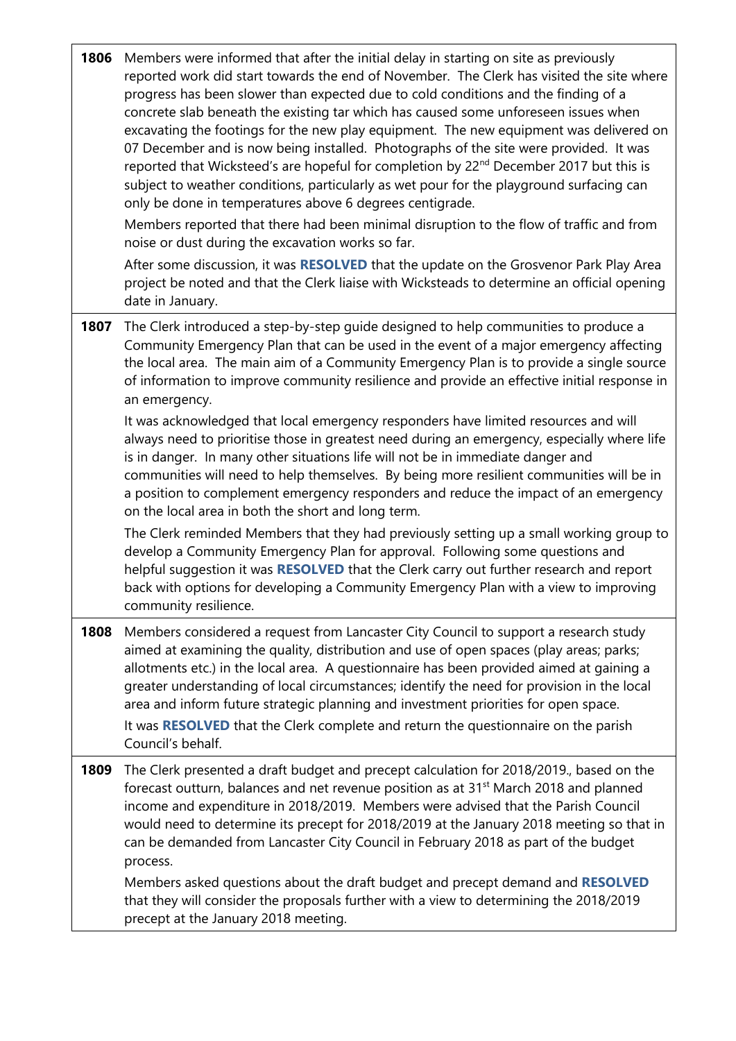| 1806 | Members were informed that after the initial delay in starting on site as previously<br>reported work did start towards the end of November. The Clerk has visited the site where<br>progress has been slower than expected due to cold conditions and the finding of a<br>concrete slab beneath the existing tar which has caused some unforeseen issues when<br>excavating the footings for the new play equipment. The new equipment was delivered on<br>07 December and is now being installed. Photographs of the site were provided. It was<br>reported that Wicksteed's are hopeful for completion by 22 <sup>nd</sup> December 2017 but this is<br>subject to weather conditions, particularly as wet pour for the playground surfacing can<br>only be done in temperatures above 6 degrees centigrade.<br>Members reported that there had been minimal disruption to the flow of traffic and from<br>noise or dust during the excavation works so far.<br>After some discussion, it was RESOLVED that the update on the Grosvenor Park Play Area<br>project be noted and that the Clerk liaise with Wicksteads to determine an official opening |
|------|----------------------------------------------------------------------------------------------------------------------------------------------------------------------------------------------------------------------------------------------------------------------------------------------------------------------------------------------------------------------------------------------------------------------------------------------------------------------------------------------------------------------------------------------------------------------------------------------------------------------------------------------------------------------------------------------------------------------------------------------------------------------------------------------------------------------------------------------------------------------------------------------------------------------------------------------------------------------------------------------------------------------------------------------------------------------------------------------------------------------------------------------------------|
|      | date in January.                                                                                                                                                                                                                                                                                                                                                                                                                                                                                                                                                                                                                                                                                                                                                                                                                                                                                                                                                                                                                                                                                                                                         |
| 1807 | The Clerk introduced a step-by-step guide designed to help communities to produce a<br>Community Emergency Plan that can be used in the event of a major emergency affecting<br>the local area. The main aim of a Community Emergency Plan is to provide a single source<br>of information to improve community resilience and provide an effective initial response in<br>an emergency.                                                                                                                                                                                                                                                                                                                                                                                                                                                                                                                                                                                                                                                                                                                                                                 |
|      | It was acknowledged that local emergency responders have limited resources and will<br>always need to prioritise those in greatest need during an emergency, especially where life<br>is in danger. In many other situations life will not be in immediate danger and<br>communities will need to help themselves. By being more resilient communities will be in<br>a position to complement emergency responders and reduce the impact of an emergency<br>on the local area in both the short and long term.                                                                                                                                                                                                                                                                                                                                                                                                                                                                                                                                                                                                                                           |
|      | The Clerk reminded Members that they had previously setting up a small working group to<br>develop a Community Emergency Plan for approval. Following some questions and<br>helpful suggestion it was RESOLVED that the Clerk carry out further research and report<br>back with options for developing a Community Emergency Plan with a view to improving<br>community resilience.                                                                                                                                                                                                                                                                                                                                                                                                                                                                                                                                                                                                                                                                                                                                                                     |
| 1808 | Members considered a request from Lancaster City Council to support a research study<br>aimed at examining the quality, distribution and use of open spaces (play areas; parks;<br>allotments etc.) in the local area. A questionnaire has been provided aimed at gaining a<br>greater understanding of local circumstances; identify the need for provision in the local<br>area and inform future strategic planning and investment priorities for open space.<br>It was RESOLVED that the Clerk complete and return the questionnaire on the parish<br>Council's behalf.                                                                                                                                                                                                                                                                                                                                                                                                                                                                                                                                                                              |
| 1809 | The Clerk presented a draft budget and precept calculation for 2018/2019., based on the<br>forecast outturn, balances and net revenue position as at 31 <sup>st</sup> March 2018 and planned<br>income and expenditure in 2018/2019. Members were advised that the Parish Council<br>would need to determine its precept for 2018/2019 at the January 2018 meeting so that in<br>can be demanded from Lancaster City Council in February 2018 as part of the budget<br>process.<br>Members asked questions about the draft budget and precept demand and RESOLVED                                                                                                                                                                                                                                                                                                                                                                                                                                                                                                                                                                                        |
|      | that they will consider the proposals further with a view to determining the 2018/2019<br>precept at the January 2018 meeting.                                                                                                                                                                                                                                                                                                                                                                                                                                                                                                                                                                                                                                                                                                                                                                                                                                                                                                                                                                                                                           |